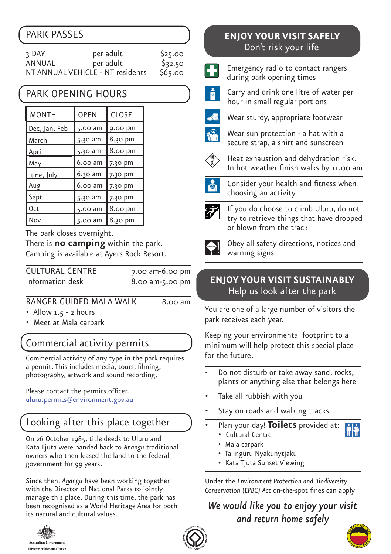## PARK PASSES

| २ DAY                            | per adult | \$25.00 |
|----------------------------------|-----------|---------|
| ANNUAL                           | per adult | \$32.50 |
| NT ANNUAL VEHICLE - NT residents |           | \$65.00 |

### PARK OPENING HOURS

| <b>MONTH</b>         | <b>OPEN</b> | CLOSE   |  |
|----------------------|-------------|---------|--|
| <u>Dec, Jan, Feb</u> | 5.00 am     | 9.00 pm |  |
| March                | 5.30 am     | 8.30 pm |  |
| April                | 5.30 am     | 8.00 pm |  |
| May                  | 6.00 am     | 7.30 pm |  |
| June, July           | 6.30 am     | 7.30 pm |  |
| Aug                  | 6.00 am     | 7.30 pm |  |
| Sept                 | 5.30 am     | 7.30 pm |  |
| 0ct                  | 5.00 am     | 8.00 pm |  |
| Nov                  | 5.00 am     | 8.30 pm |  |

The park closes overnight.

There is **no camping** within the park. Camping is available at Ayers Rock Resort.

| <b>CULTURAL CENTRE</b> | $7.00$ am- $6.00$ pm |
|------------------------|----------------------|
| Information desk       | 8.00 am-5.00 pm      |

#### RANGER-GUIDED MALA WALK 8.00 am

- Allow 1.5 2 hours
- Meet at Mala carpark

## Commercial activity permits

Commercial activity of any type in the park requires a permit. This includes media, tours, filming, photography, artwork and sound recording.

Please contact the permits officer. uluru.permits@environment.gov.au

# Looking after this place together

On 26 October 1985, title deeds to Uluru and Kata Tjuta were handed back to *Anangu* traditional owners who then leased the land to the federal government for 99 years.

Since then, *Anangu* have been working together with the Director of National Parks to jointly manage this place. During this time, the park has been recognised as a World Heritage Area for both its natural and cultural values.



#### ENJOY YOUR VISIT SAFELY **ENJOY YOUR VISIT SAFELY** Don't risk your life Don't risk your life

| Emergency radio to contact rangers<br>during park opening times                                                |
|----------------------------------------------------------------------------------------------------------------|
| Carry and drink one litre of water per<br>hour in small regular portions                                       |
| Wear sturdy, appropriate footwear                                                                              |
| Wear sun protection - a hat with a<br>secure strap, a shirt and sunscreen                                      |
| Heat exhaustion and dehydration risk.<br>In hot weather finish walks by 11.00 am                               |
| Consider your health and fitness when<br>choosing an activity                                                  |
| If you do choose to climb Uluru, do not<br>try to retrieve things that have dropped<br>or blown from the track |
| Obey all safety directions, notices and<br>warning signs                                                       |

#### **ENJOY YOUR VISIT SUSTAINABLY** Help us look after the park

You are one of a large number of visitors the park receives each year.

Keeping your environmental footprint to a minimum will help protect this special place for the future.

- Do not disturb or take away sand, rocks, plants or anything else that belongs here
- Take all rubbish with you
- Stay on roads and walking tracks
- Plan your day! **Toilets** provided at: Cultural Centre
	-
	- Mala carpark
	- Talinguru Nyakunytjaku
	- Kata Tjuta Sunset Viewing

Under the *Environment Protection and Biodiversity Conservation (EPBC) Act* on-the-spot fines can apply

*We would like you to enjoy your visit and return home safely* 



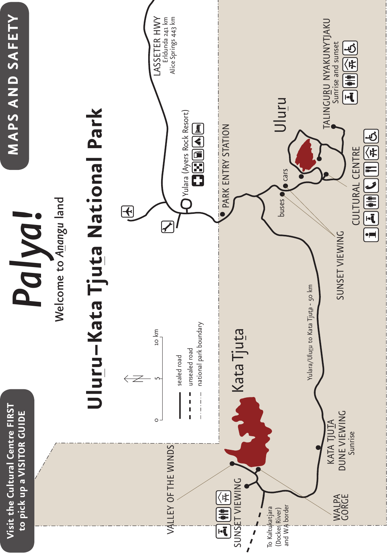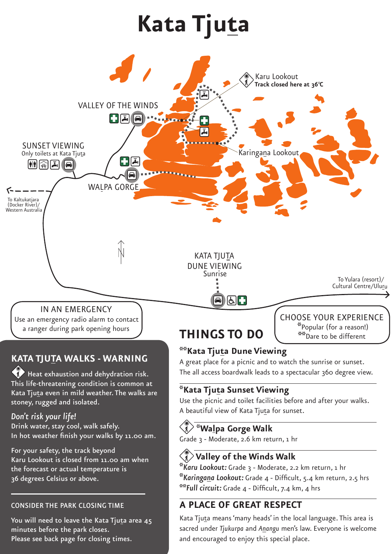# **Kata Tjuta**



the forecast or actual temperature is 36 degrees Celsius or above. ׇ֚֬

CONSIDER THE PARK CLOSING TIME

minutes before the park closes. Please see back page for closing times.

You will need to leave the Kata Tjuta area 45

 **Valley of the Winds Walk \****Karu Lookout:* Grade 3 - Moderate, 2.2 km return, 1 hr **\****Karingana Lookout:* Grade 4 - Difficult, 5.4 km return, 2.5 hrs **\*\****Full circuit:* Grade 4 - Difficult, 7.4 km, 4 hrs

#### **A PLACE OF GREAT RESPECT**

Kata Tjuta means 'many heads' in the local language. This area is sacred under *Tjukurpa* and *Anangu* men's law. Everyone is welcome and encouraged to enjoy this special place.